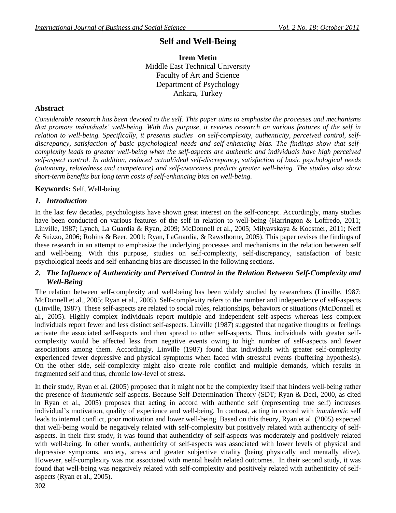# **Self and Well-Being**

## **Irem Metin** Middle East Technical University Faculty of Art and Science Department of Psychology Ankara, Turkey

## **Abstract**

*Considerable research has been devoted to the self. This paper aims to emphasize the processes and mechanisms that promote individuals' well-being. With this purpose, it reviews research on various features of the self in relation to well-being. Specifically, it presents studies on self-complexity, authenticity, perceived control, selfdiscrepancy, satisfaction of basic psychological needs and self-enhancing bias. The findings show that selfcomplexity leads to greater well-being when the self-aspects are authentic and individuals have high perceived self-aspect control. In addition, reduced actual/ideal self-discrepancy, satisfaction of basic psychological needs (autonomy, relatedness and competence) and self-awareness predicts greater well-being. The studies also show short-term benefits but long term costs of self-enhancing bias on well-being.*

## **Keywords***:* Self, Well-being

## *1. Introduction*

In the last few decades, psychologists have shown great interest on the self-concept. Accordingly, many studies have been conducted on various features of the self in relation to well-being (Harrington & Loffredo, 2011; Linville, 1987; Lynch, La Guardia & Ryan, 2009; McDonnell et al., 2005; Milyavskaya & Koestner, 2011; Neff & Suizzo, 2006; Robins & Beer, 2001; Ryan, LaGuardia, & Rawsthorne, 2005). This paper revises the findings of these research in an attempt to emphasize the underlying processes and mechanisms in the relation between self and well-being. With this purpose, studies on self-complexity, self-discrepancy, satisfaction of basic psychological needs and self-enhancing bias are discussed in the following sections.

## *2. The Influence of Authenticity and Perceived Control in the Relation Between Self-Complexity and Well-Being*

The relation between self-complexity and well-being has been widely studied by researchers (Linville, 1987; McDonnell et al., 2005; Ryan et al., 2005). Self-complexity refers to the number and independence of self-aspects (Linville, 1987). These self-aspects are related to social roles, relationships, behaviors or situations (McDonnell et al., 2005). Highly complex individuals report multiple and independent self-aspects whereas less complex individuals report fewer and less distinct self-aspects. Linville (1987) suggested that negative thoughts or feelings activate the associated self-aspects and then spread to other self-aspects. Thus, individuals with greater selfcomplexity would be affected less from negative events owing to high number of self-aspects and fewer associations among them. Accordingly, Linville (1987) found that individuals with greater self-complexity experienced fewer depressive and physical symptoms when faced with stressful events (buffering hypothesis). On the other side, self-complexity might also create role conflict and multiple demands, which results in fragmented self and thus, chronic low-level of stress.

In their study, Ryan et al. (2005) proposed that it might not be the complexity itself that hinders well-being rather the presence of *inauthentic* self-aspects. Because Self-Determination Theory (SDT; Ryan & Deci, 2000, as cited in Ryan et al., 2005) proposes that acting in accord with authentic self (representing true self) increases individual's motivation, quality of experience and well-being. In contrast, acting in accord with *inauthentic* self leads to internal conflict, poor motivation and lower well-being. Based on this theory, Ryan et al. (2005) expected that well-being would be negatively related with self-complexity but positively related with authenticity of selfaspects. In their first study, it was found that authenticity of self-aspects was moderately and positively related with well-being. In other words, authenticity of self-aspects was associated with lower levels of physical and depressive symptoms, anxiety, stress and greater subjective vitality (being physically and mentally alive). However, self-complexity was not associated with mental health related outcomes. In their second study, it was found that well-being was negatively related with self-complexity and positively related with authenticity of selfaspects (Ryan et al., 2005).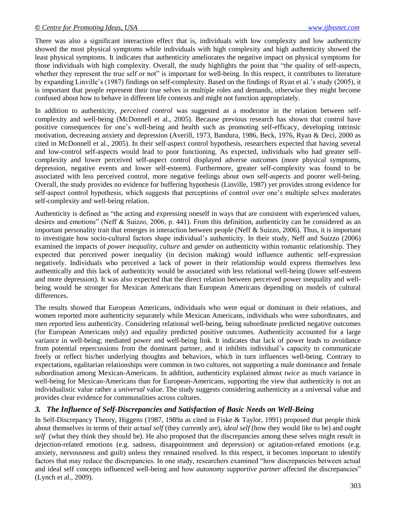There was also a significant interaction effect that is, individuals with low complexity and low authenticity showed the most physical symptoms while individuals with high complexity and high authenticity showed the least physical symptoms. It indicates that authenticity ameliorates the negative impact on physical symptoms for those individuals with high complexity. Overall, the study highlights the point that "the quality of self-aspects, whether they represent the true self or not" is important for well-being. In this respect, it contributes to literature by expanding Linville's (1987) findings on self-complexity. Based on the findings of Ryan et al.'s study (2005), it is important that people represent their true selves in multiple roles and demands, otherwise they might become confused about how to behave in different life contexts and might not function appropriately.

In addition to authenticity, *perceived control* was suggested as a moderator in the relation between selfcomplexity and well-being (McDonnell et al., 2005). Because previous research has shown that control have positive consequences for one's well-being and health such as promoting self-efficacy, developing intrinsic motivation, decreasing anxiety and depression (Averill, 1973, Bandura, 1986, Beck, 1976, Ryan & Deci, 2000 as cited in McDonnell et al., 2005). In their self-aspect control hypothesis, researchers expected that having several and low-control self-aspects would lead to poor functioning. As expected, individuals who had greater selfcomplexity and lower perceived self-aspect control displayed adverse outcomes (more physical symptoms, depression, negative events and lower self-esteem). Furthermore, greater self-complexity was found to be associated with less perceived control, more negative feelings about own self-aspects and poorer well-being. Overall, the study provides no evidence for buffering hypothesis (Linville, 1987) yet provides strong evidence for self-aspect control hypothesis, which suggests that perceptions of control over one's multiple selves moderates self-complexity and well-being relation.

Authenticity is defined as "the acting and expressing oneself in ways that are consistent with experienced values, desires and emotions" (Neff & Suizzo, 2006, p. 441). From this definition, authenticity can be considered as an important personality trait that emerges in interaction between people (Neff & Suizzo, 2006). Thus, it is important to investigate how socio-cultural factors shape individual's authenticity. In their study, Neff and Suizzo (2006) examined the impacts of *power inequality, culture* and *gender* on authenticity within romantic relationship. They expected that perceived power inequality (in decision making) would influence authentic self-expression negatively. Individuals who perceived a lack of power in their relationship would express themselves less authentically and this lack of authenticity would be associated with less relational well-being (lower self-esteem and more depression). It was also expected that the direct relation between perceived power inequality and wellbeing would be stronger for Mexican Americans than European Americans depending on models of cultural differences.

The results showed that European Americans, individuals who were equal or dominant in their relations, and women reported more authenticity separately while Mexican Americans, individuals who were subordinates, and men reported less authenticity. Considering relational well-being, being subordinate predicted negative outcomes (for European Americans only) and equality predicted positive outcomes. Authenticity accounted for a large variance in well-being; mediated power and well-being link. It indicates that lack of power leads to avoidance from potential repercussions from the dominant partner, and it inhibits individual's capacity to communicate freely or reflect his/her underlying thoughts and behaviors, which in turn influences well-being. Contrary to expectations, egalitarian relationships were common in two cultures, not supporting a male dominance and female subordination among Mexican-Americans. In addition, authenticity explained almost *twice* as much variance in well-being for Mexican-Americans than for European-Americans, supporting the view that authenticity is not an individualistic value rather a *universal* value. The study suggests considering authenticity as a universal value and provides clear evidence for communalities across cultures.

## *3. The Influence of Self-Discrepancies and Satisfaction of Basic Needs on Well-Being*

In Self-Discrepancy Theory, Higgens (1987, 1989a as cited in Fiske & Taylor, 1991) proposed that people think about themselves in terms of their *actual self* (they currently are), *ideal self* (how they would like to be) and *ought self* (what they think they should be). He also proposed that the discrepancies among these selves might result in dejection-related emotions (e.g. sadness, disappointment and depression) or agitation-related emotions (e.g. anxiety, nervousness and guilt) unless they remained resolved. In this respect, it becomes important to identify factors that may reduce the discrepancies. In one study, researchers examined "how discrepancies between actual and ideal self concepts influenced well-being and how *autonomy supportive partner* affected the discrepancies" (Lynch et al., 2009).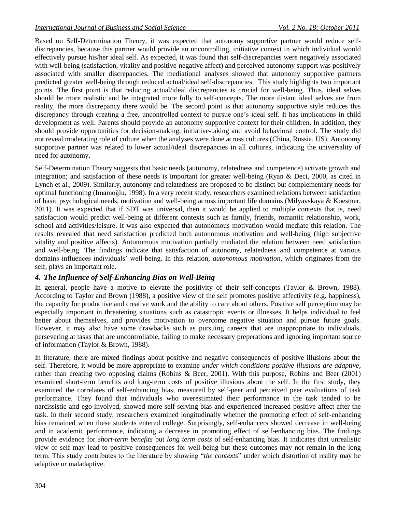Based on Self-Determination Theory, it was expected that autonomy supportive partner would reduce selfdiscrepancies, because this partner would provide an uncontrolling, initiative context in which individual would effectively pursue his/her ideal self. As expected, it was found that self-discrepancies were negatively associated with well-being (satisfaction, vitality and positive-negative affect) and perceived autonomy support was positively associated with smaller discrepancies. The mediational analyses showed that autonomy supportive partners predicted greater well-being through reduced actual/ideal self-discrepancies. This study highlights two important points. The first point is that reducing actual/ideal discrepancies is crucial for well-being. Thus, ideal selves should be more realistic and be integrated more fully to self-concepts. The more distant ideal selves are from reality, the more discrepancy there would be. The second point is that autonomy supportive style reduces this discrepancy through creating a free, uncontrolled context to pursue one's ideal self. It has implications in child development as well. Parents should provide an autonomy supportive context for their children. In addition, they should provide opportunities for decision-making, initiative-taking and avoid behavioral control. The study did not reveal moderating role of culture when the analyses were done across cultures (China, Russia, US). Autonomy supportive partner was related to lower actual/ideal discrepancies in all cultures, indicating the universality of need for autonomy.

Self-Determination Theory suggests that basic needs (autonomy, relatedness and competence) activate growth and integration; and satisfaction of these needs is important for greater well-being (Ryan & Deci, 2000, as cited in Lynch et al., 2009). Similarly, autonomy and relatedness are proposed to be distinct but complementary needs for optimal functioning (Imamoğlu, 1998). In a very recent study, researchers examined relations between satisfaction of basic psychological needs, motivation and well-being across important life domains (Milyavskaya & Koestner, 2011). It was expected that if SDT was universal, then it would be applied to multiple contexts that is, need satisfaction would predict well-being at different contexts such as family, friends, romantic relationship, work, school and activities/leisure. It was also expected that autonomous motivation would mediate this relation. The results revealed that need satisfaction predicted both autonomous motivation and well-being (high subjective vitality and positive affects). Autonomous motivation partially mediated the relation between need satisfaction and well-being. The findings indicate that satisfaction of autonomy, relatedness and competence at various domains influences individuals' well-being. In this relation, *autonomous motivation,* which originates from the self, plays an important role.

## *4. The Influence of Self-Enhancing Bias on Well-Being*

In general, people have a motive to elevate the positivity of their self-concepts (Taylor & Brown, 1988). According to Taylor and Brown (1988), a positive view of the self promotes positive affectivity (e.g. happiness), the capacity for productive and creative work and the ability to care about others. Positive self perception may be especially important in threatening situations such as catastropic events or illnesses. It helps individual to feel better about themselves, and provides motivation to overcome negative situation and pursue future goals. However, it may also have some drawbacks such as pursuing careers that are inappropriate to individuals, persevering at tasks that are uncontrollable, failing to make necessary preperations and ignoring important source of information (Taylor & Brown, 1988).

In literature, there are mixed findings about positive and negative consequences of positive illusions about the self. Therefore, it would be more appropriate to examine *under which conditions positive illusions are adaptive*, rather than creating two opposing claims (Robins & Beer, 2001). With this purpose, Robins and Beer (2001) examined short-term benefits and long-term costs of positive illusions about the self. In the first study, they examined the correlates of self-enhancing bias, measured by self-peer and perceived peer evaluations of task performance. They found that individuals who overestimated their performance in the task tended to be narcissistic and ego-involved, showed more self-serving bias and experienced increased positive affect after the task. In their second study, researchers examined longitudinally whether the promoting effect of self-enhancing bias remained when these students entered college. Surprisingly, self-enhancers showed decrease in well-being and in academic performance, indicating a decrease in promoting effect of self-enhancing bias. The findings provide evidence for *short-term benefits* but *long term costs* of self-enhancing bias. It indicates that unrealistic view of self may lead to positive consequences for well-being but these outcomes may not remain in the long term. This study contributes to the literature by showing "*the contexts*" under which distortion of reality may be adaptive or maladaptive.